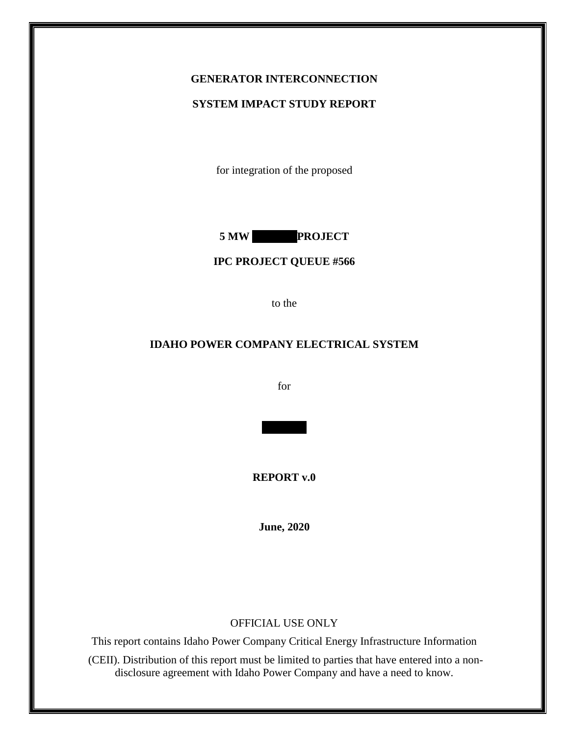## **GENERATOR INTERCONNECTION**

#### **SYSTEM IMPACT STUDY REPORT**

for integration of the proposed

**5 MW PROJECT** 

## **IPC PROJECT QUEUE #566**

to the

## **IDAHO POWER COMPANY ELECTRICAL SYSTEM**

for

**REPORT v.0**

**June, 2020**

#### OFFICIAL USE ONLY

This report contains Idaho Power Company Critical Energy Infrastructure Information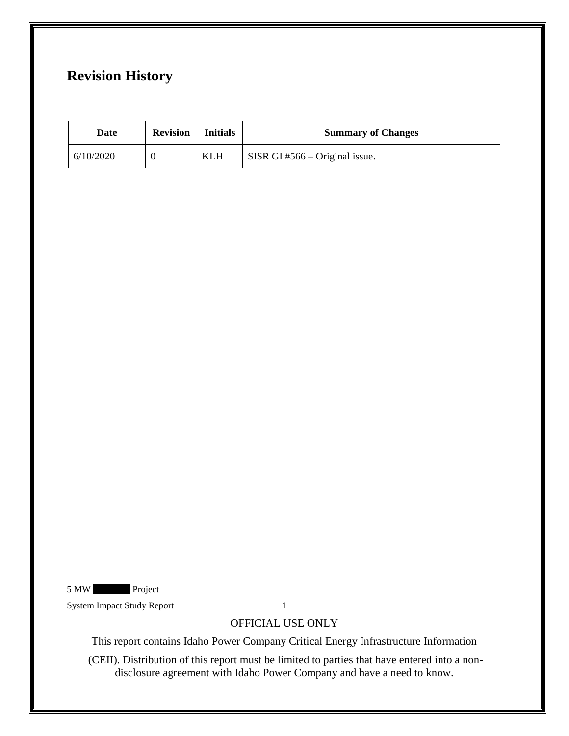# **Revision History**

| Date      | <b>Revision</b> | <b>Initials</b> | <b>Summary of Changes</b>     |
|-----------|-----------------|-----------------|-------------------------------|
| 6/10/2020 |                 | KLH             | SISR GI#566 – Original issue. |

5 MW Project

System Impact Study Report 1

## OFFICIAL USE ONLY

This report contains Idaho Power Company Critical Energy Infrastructure Information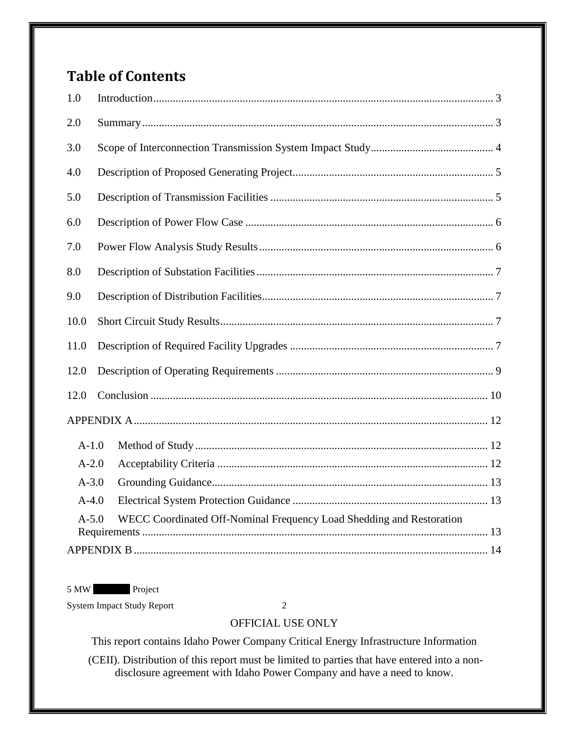# <span id="page-2-0"></span>**Table of Contents**

| 2.0<br>3.0<br>4.0<br>5.0<br>6.0<br>7.0<br>8.0<br>9.0<br>10.0<br>11.0<br>12.0<br>12.0<br>$A-1.0$<br>$A-2.0$<br>$A - 3.0$<br>$A-4.0$ | 1.0 |                                                                                   |  |  |  |
|------------------------------------------------------------------------------------------------------------------------------------|-----|-----------------------------------------------------------------------------------|--|--|--|
|                                                                                                                                    |     |                                                                                   |  |  |  |
|                                                                                                                                    |     |                                                                                   |  |  |  |
|                                                                                                                                    |     |                                                                                   |  |  |  |
|                                                                                                                                    |     |                                                                                   |  |  |  |
|                                                                                                                                    |     |                                                                                   |  |  |  |
|                                                                                                                                    |     |                                                                                   |  |  |  |
|                                                                                                                                    |     |                                                                                   |  |  |  |
|                                                                                                                                    |     |                                                                                   |  |  |  |
|                                                                                                                                    |     |                                                                                   |  |  |  |
|                                                                                                                                    |     |                                                                                   |  |  |  |
|                                                                                                                                    |     |                                                                                   |  |  |  |
|                                                                                                                                    |     |                                                                                   |  |  |  |
|                                                                                                                                    |     |                                                                                   |  |  |  |
|                                                                                                                                    |     |                                                                                   |  |  |  |
|                                                                                                                                    |     |                                                                                   |  |  |  |
|                                                                                                                                    |     |                                                                                   |  |  |  |
|                                                                                                                                    |     |                                                                                   |  |  |  |
|                                                                                                                                    |     | $A - 5.0$<br>WECC Coordinated Off-Nominal Frequency Load Shedding and Restoration |  |  |  |
|                                                                                                                                    |     |                                                                                   |  |  |  |

5 MW Project

System Impact Study Report 2

# OFFICIAL USE ONLY

This report contains Idaho Power Company Critical Energy Infrastructure Information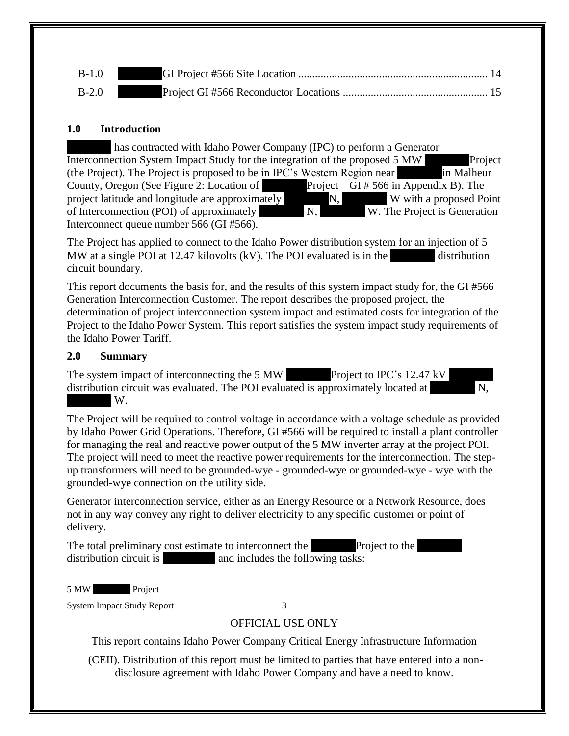| $B-1.0$ |  |
|---------|--|
| $B-2.0$ |  |

#### **1.0 Introduction**

| has contracted with Idaho Power Company (IPC) to perform a Generator                    |      |                              |            |  |  |  |
|-----------------------------------------------------------------------------------------|------|------------------------------|------------|--|--|--|
| Project<br>Interconnection System Impact Study for the integration of the proposed 5 MW |      |                              |            |  |  |  |
| (the Project). The Project is proposed to be in IPC's Western Region near               |      |                              | in Malheur |  |  |  |
| County, Oregon (See Figure 2: Location of Project – GI # 566 in Appendix B). The        |      |                              |            |  |  |  |
| project latitude and longitude are approximately                                        | N, I | W with a proposed Point      |            |  |  |  |
| of Interconnection (POI) of approximately                                               | N.   | W. The Project is Generation |            |  |  |  |
| Interconnect queue number 566 (GI #566).                                                |      |                              |            |  |  |  |

The Project has applied to connect to the Idaho Power distribution system for an injection of 5 MW at a single POI at 12.47 kilovolts  $(kV)$ . The POI evaluated is in the  $\blacksquare$  distribution circuit boundary.

This report documents the basis for, and the results of this system impact study for, the GI #566 Generation Interconnection Customer. The report describes the proposed project, the determination of project interconnection system impact and estimated costs for integration of the Project to the Idaho Power System. This report satisfies the system impact study requirements of the Idaho Power Tariff.

#### <span id="page-3-0"></span>**2.0 Summary**

The system impact of interconnecting the 5 MW \*\*\*\*\*\*\*\*Project to IPC's 12.47 kV \*\*\*\*\*\*\*\* distribution circuit was evaluated. The POI evaluated is approximately located at  $W_{\cdot}$ 

The Project will be required to control voltage in accordance with a voltage schedule as provided by Idaho Power Grid Operations. Therefore, GI #566 will be required to install a plant controller for managing the real and reactive power output of the 5 MW inverter array at the project POI. The project will need to meet the reactive power requirements for the interconnection. The stepup transformers will need to be grounded-wye - grounded-wye or grounded-wye - wye with the grounded-wye connection on the utility side.

Generator interconnection service, either as an Energy Resource or a Network Resource, does not in any way convey any right to deliver electricity to any specific customer or point of delivery.

The total preliminary cost estimate to interconnect the \*\*\*\*\*\*\*\*Project to the \*\*\*\*\*\*\*\* distribution circuit is  $\qquad \qquad$  and includes the following tasks:

5 MW Project

System Impact Study Report 3

# OFFICIAL USE ONLY

This report contains Idaho Power Company Critical Energy Infrastructure Information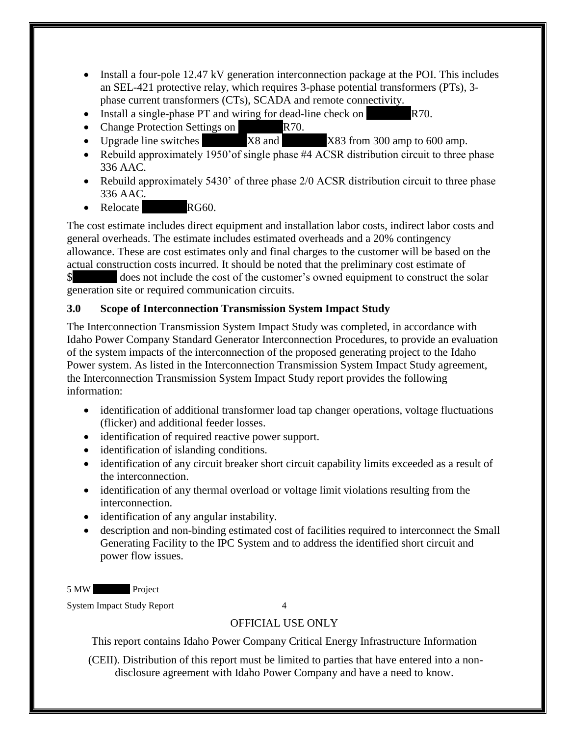- <span id="page-4-1"></span>• Install a four-pole 12.47 kV generation interconnection package at the POI. This includes an SEL-421 protective relay, which requires 3-phase potential transformers (PTs), 3 phase current transformers (CTs), SCADA and remote connectivity.
- Install a single-phase PT and wiring for dead-line check on  $R70$ .
- Change Protection Settings on  $R70$ .
- Upgrade line switches  $X8$  and  $X83$  from 300 amp to 600 amp.
- Rebuild approximately 1950' of single phase #4 ACSR distribution circuit to three phase 336 AAC.
- Rebuild approximately 5430' of three phase 2/0 ACSR distribution circuit to three phase 336 AAC.
- Relocate **\*\*\*** RG60.

The cost estimate includes direct equipment and installation labor costs, indirect labor costs and general overheads. The estimate includes estimated overheads and a 20% contingency allowance. These are cost estimates only and final charges to the customer will be based on the actual construction costs incurred. It should be noted that the preliminary cost estimate of  $\$\$  does not include the cost of the customer's owned equipment to construct the solar generation site or required communication circuits.

# <span id="page-4-0"></span>**3.0 Scope of Interconnection Transmission System Impact Study**

The Interconnection Transmission System Impact Study was completed, in accordance with Idaho Power Company Standard Generator Interconnection Procedures, to provide an evaluation of the system impacts of the interconnection of the proposed generating project to the Idaho Power system. As listed in the Interconnection Transmission System Impact Study agreement, the Interconnection Transmission System Impact Study report provides the following information:

- identification of additional transformer load tap changer operations, voltage fluctuations (flicker) and additional feeder losses.
- identification of required reactive power support.
- identification of islanding conditions.
- identification of any circuit breaker short circuit capability limits exceeded as a result of the interconnection.
- identification of any thermal overload or voltage limit violations resulting from the interconnection.
- identification of any angular instability.
- description and non-binding estimated cost of facilities required to interconnect the Small Generating Facility to the IPC System and to address the identified short circuit and power flow issues.

5 MW Project

System Impact Study Report 4

# OFFICIAL USE ONLY

This report contains Idaho Power Company Critical Energy Infrastructure Information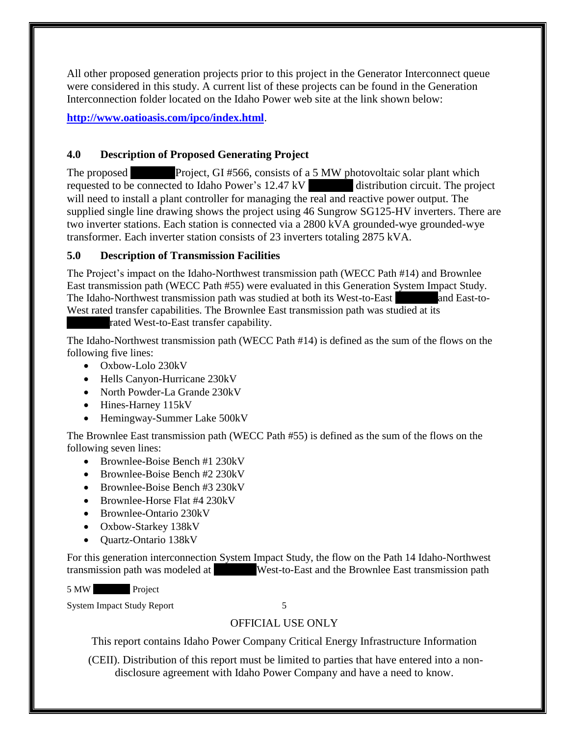All other proposed generation projects prior to this project in the Generator Interconnect queue were considered in this study. A current list of these projects can be found in the Generation Interconnection folder located on the Idaho Power web site at the link shown below:

**<http://www.oatioasis.com/ipco/index.html>**.

## **4.0 Description of Proposed Generating Project**

The proposed \*\*\*\*\*\*\*\*Project, GI #566, consists of a 5 MW photovoltaic solar plant which requested to be connected to Idaho Power's 12.47 kV distribution circuit. The project will need to install a plant controller for managing the real and reactive power output. The supplied single line drawing shows the project using 46 Sungrow SG125-HV inverters. There are two inverter stations. Each station is connected via a 2800 kVA grounded-wye grounded-wye transformer. Each inverter station consists of 23 inverters totaling 2875 kVA.

## <span id="page-5-0"></span>**5.0 Description of Transmission Facilities**

The Project's impact on the Idaho-Northwest transmission path (WECC Path #14) and Brownlee East transmission path (WECC Path #55) were evaluated in this Generation System Impact Study. The Idaho-Northwest transmission path was studied at both its West-to-East \*\*\*\*\*\*\*\*\*\*\*\*\*and East-to-West rated transfer capabilities. The Brownlee East transmission path was studied at its

rated West-to-East transfer capability.

The Idaho-Northwest transmission path (WECC Path #14) is defined as the sum of the flows on the following five lines:

- Oxbow-Lolo 230kV
- Hells Canyon-Hurricane 230kV
- North Powder-La Grande 230kV
- Hines-Harney 115kV
- Hemingway-Summer Lake 500kV

The Brownlee East transmission path (WECC Path #55) is defined as the sum of the flows on the following seven lines:

- Brownlee-Boise Bench #1 230kV
- Brownlee-Boise Bench #2 230kV
- Brownlee-Boise Bench #3 230kV
- Brownlee-Horse Flat #4 230kV
- Brownlee-Ontario 230kV
- Oxbow-Starkey 138kV
- Quartz-Ontario 138kV

For this generation interconnection System Impact Study, the flow on the Path 14 Idaho-Northwest transmission path was modeled at \*\*\*\*\*\*\*\*West-to-East and the Brownlee East transmission path

5 MW Project

System Impact Study Report 5

# OFFICIAL USE ONLY

This report contains Idaho Power Company Critical Energy Infrastructure Information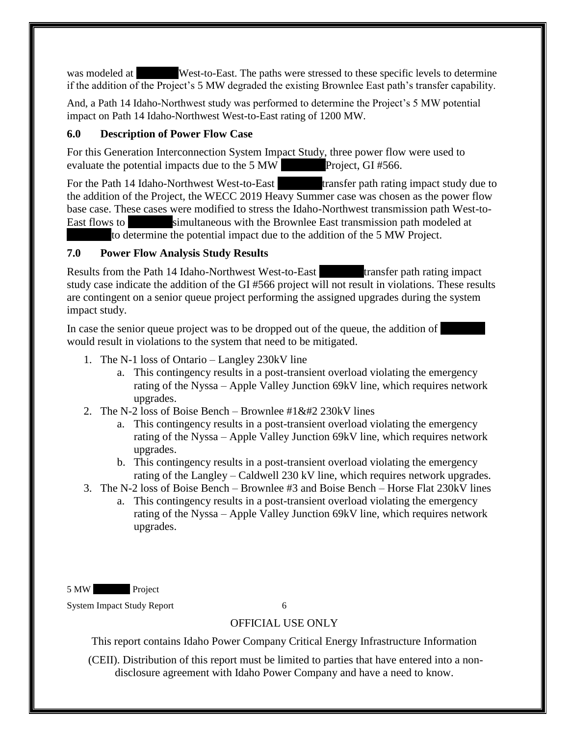<span id="page-6-2"></span>was modeled at \*\*\*\*\*\*\*\*West-to-East. The paths were stressed to these specific levels to determine if the addition of the Project's 5 MW degraded the existing Brownlee East path's transfer capability.

And, a Path 14 Idaho-Northwest study was performed to determine the Project's 5 MW potential impact on Path 14 Idaho-Northwest West-to-East rating of 1200 MW.

## <span id="page-6-0"></span>**6.0 Description of Power Flow Case**

For this Generation Interconnection System Impact Study, three power flow were used to evaluate the potential impacts due to the  $5 \text{ MW}$  Project, GI #566.

For the Path 14 Idaho-Northwest West-to-East \*\*\*\*\*\*\*\*transfer path rating impact study due to the addition of the Project, the WECC 2019 Heavy Summer case was chosen as the power flow base case. These cases were modified to stress the Idaho-Northwest transmission path West-to-East flows to \*\*\*\*\*\*\*\*simultaneous with the Brownlee East transmission path modeled at to determine the potential impact due to the addition of the 5 MW Project.

## <span id="page-6-1"></span>**7.0 Power Flow Analysis Study Results**

Results from the Path 14 Idaho-Northwest West-to-East \*\*\*\*\*\*\*\*transfer path rating impact study case indicate the addition of the GI #566 project will not result in violations. These results are contingent on a senior queue project performing the assigned upgrades during the system impact study.

In case the senior queue project was to be dropped out of the queue, the addition of would result in violations to the system that need to be mitigated.

- 1. The N-1 loss of Ontario Langley 230kV line
	- a. This contingency results in a post-transient overload violating the emergency rating of the Nyssa – Apple Valley Junction 69kV line, which requires network upgrades.
- 2. The N-2 loss of Boise Bench Brownlee  $\#1 \& \#2 230$  kV lines
	- a. This contingency results in a post-transient overload violating the emergency rating of the Nyssa – Apple Valley Junction 69kV line, which requires network upgrades.
	- b. This contingency results in a post-transient overload violating the emergency rating of the Langley – Caldwell 230 kV line, which requires network upgrades.
- 3. The N-2 loss of Boise Bench Brownlee #3 and Boise Bench Horse Flat 230kV lines
	- a. This contingency results in a post-transient overload violating the emergency rating of the Nyssa – Apple Valley Junction 69kV line, which requires network upgrades.

5 MW Project

System Impact Study Report 6

# OFFICIAL USE ONLY

This report contains Idaho Power Company Critical Energy Infrastructure Information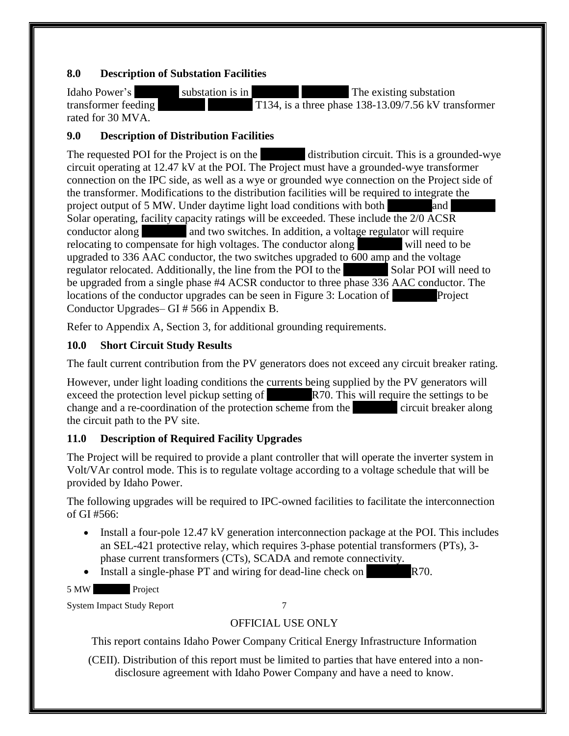## **8.0 Description of Substation Facilities**

Idaho Power's \*\*\*\*\*\*\*\* substation is in \*\*\*\*\*\*\*\*, \*\*\*\*\*\*\*\*. The existing substation transformer feeding \*\*\*\*\*\*\*\*, \*\*\*\*\*\*\*\* T134, is a three phase 138-13.09/7.56 kV transformer rated for 30 MVA.

# **9.0 Description of Distribution Facilities**

The requested POI for the Project is on the **the set of distribution circuit.** This is a grounded-wye circuit operating at 12.47 kV at the POI. The Project must have a grounded-wye transformer connection on the IPC side, as well as a wye or grounded wye connection on the Project side of the transformer. Modifications to the distribution facilities will be required to integrate the project output of 5 MW. Under daytime light load conditions with both  $\qquad \qquad$  and Solar operating, facility capacity ratings will be exceeded. These include the 2/0 ACSR conductor along and two switches. In addition, a voltage regulator will require relocating to compensate for high voltages. The conductor along  $\sim$  will need to be upgraded to 336 AAC conductor, the two switches upgraded to 600 amp and the voltage regulator relocated. Additionally, the line from the POI to the \*\*\*\*\* Solar POI will need to be upgraded from a single phase #4 ACSR conductor to three phase 336 AAC conductor. The locations of the conductor upgrades can be seen in Figure 3: Location of **Project** Conductor Upgrades– GI # 566 in Appendix B.

Refer to Appendix A, Section 3, for additional grounding requirements.

# <span id="page-7-0"></span>**10.0 Short Circuit Study Results**

The fault current contribution from the PV generators does not exceed any circuit breaker rating.

However, under light loading conditions the currents being supplied by the PV generators will exceed the protection level pickup setting of \*\*\*\*\*\*\*\*R70. This will require the settings to be change and a re-coordination of the protection scheme from the  $\frac{1}{x}$  circuit breaker along the circuit path to the PV site.

# <span id="page-7-1"></span>**11.0 Description of Required Facility Upgrades**

The Project will be required to provide a plant controller that will operate the inverter system in Volt/VAr control mode. This is to regulate voltage according to a voltage schedule that will be provided by Idaho Power.

The following upgrades will be required to IPC-owned facilities to facilitate the interconnection of GI #566:

- Install a four-pole 12.47 kV generation interconnection package at the POI. This includes an SEL-421 protective relay, which requires 3-phase potential transformers (PTs), 3 phase current transformers (CTs), SCADA and remote connectivity.
- Install a single-phase PT and wiring for dead-line check on  $R70$ .

5 MW Project

System Impact Study Report 7

# OFFICIAL USE ONLY

This report contains Idaho Power Company Critical Energy Infrastructure Information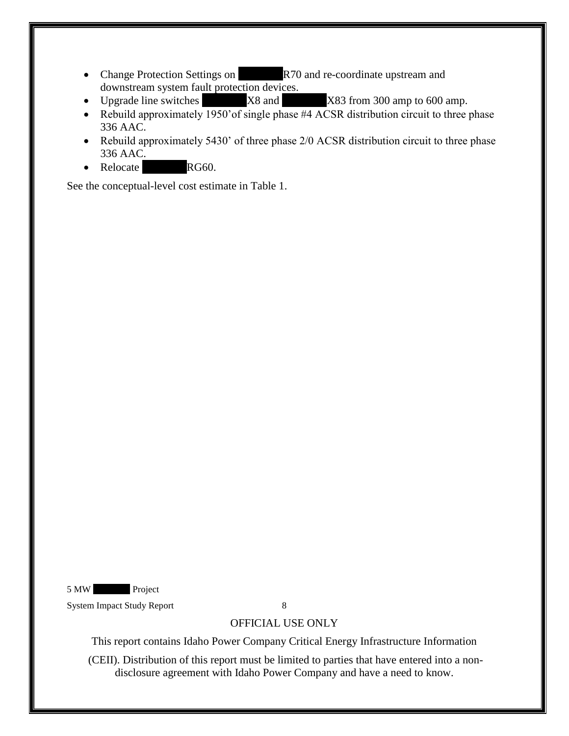- Change Protection Settings on  $R70$  and re-coordinate upstream and downstream system fault protection devices.
- Upgrade line switches  $X8$  and  $X83$  from 300 amp to 600 amp.
- Rebuild approximately  $\frac{1950}{\text{ of}}$  single phase #4 ACSR distribution circuit to three phase 336 AAC.
- Rebuild approximately 5430' of three phase 2/0 ACSR distribution circuit to three phase 336 AAC.
- Relocate **\*\*\*\*** RG60.

See the conceptual-level cost estimate in Table 1.

5 MW Project

System Impact Study Report 8

OFFICIAL USE ONLY

This report contains Idaho Power Company Critical Energy Infrastructure Information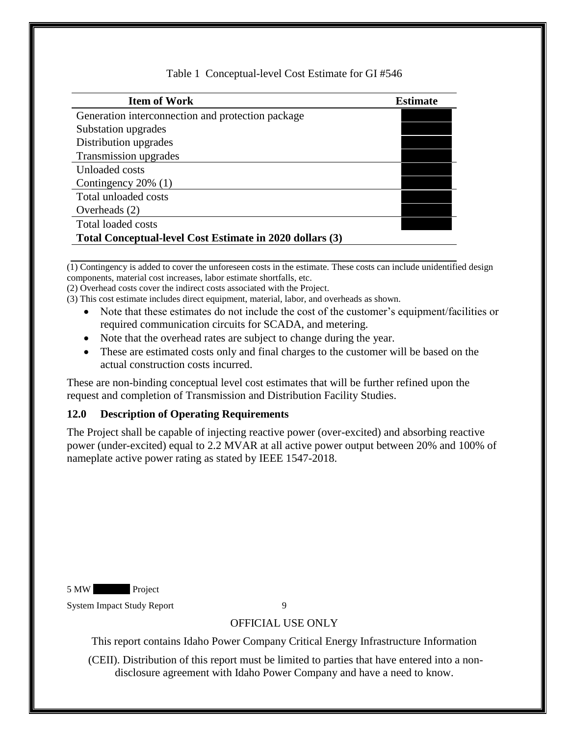## Table 1 Conceptual-level Cost Estimate for GI #546

| <b>Item of Work</b>                                      | <b>Estimate</b> |
|----------------------------------------------------------|-----------------|
| Generation interconnection and protection package        |                 |
| Substation upgrades                                      |                 |
| Distribution upgrades                                    |                 |
| Transmission upgrades                                    |                 |
| Unloaded costs                                           |                 |
| Contingency $20\%$ (1)                                   |                 |
| Total unloaded costs                                     |                 |
| Overheads $(2)$                                          |                 |
| Total loaded costs                                       |                 |
| Total Conceptual-level Cost Estimate in 2020 dollars (3) |                 |

(1) Contingency is added to cover the unforeseen costs in the estimate. These costs can include unidentified design components, material cost increases, labor estimate shortfalls, etc.

(2) Overhead costs cover the indirect costs associated with the Project.

- (3) This cost estimate includes direct equipment, material, labor, and overheads as shown.
	- Note that these estimates do not include the cost of the customer's equipment/facilities or required communication circuits for SCADA, and metering.
	- Note that the overhead rates are subject to change during the year.
	- These are estimated costs only and final charges to the customer will be based on the actual construction costs incurred.

These are non-binding conceptual level cost estimates that will be further refined upon the request and completion of Transmission and Distribution Facility Studies.

#### <span id="page-9-0"></span>**12.0 Description of Operating Requirements**

The Project shall be capable of injecting reactive power (over-excited) and absorbing reactive power (under-excited) equal to 2.2 MVAR at all active power output between 20% and 100% of nameplate active power rating as stated by IEEE 1547-2018.

5 MW Project

System Impact Study Report 9

## OFFICIAL USE ONLY

This report contains Idaho Power Company Critical Energy Infrastructure Information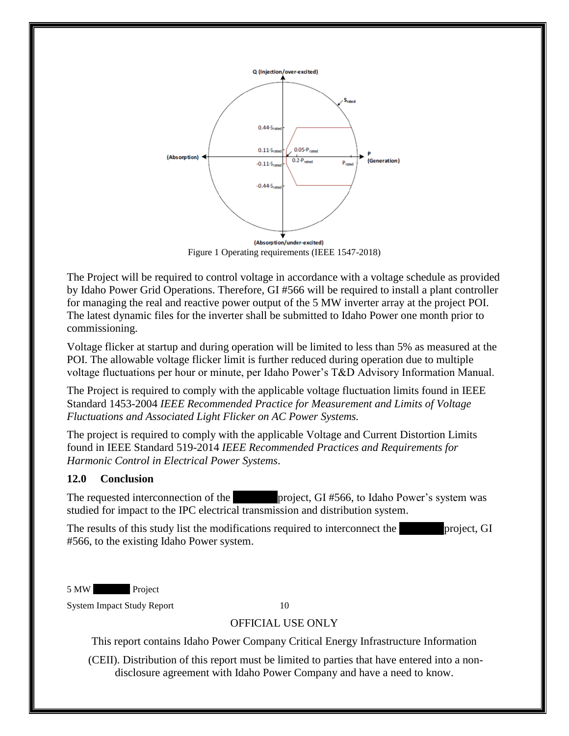

Figure 1 Operating requirements (IEEE 1547-2018)

The Project will be required to control voltage in accordance with a voltage schedule as provided by Idaho Power Grid Operations. Therefore, GI #566 will be required to install a plant controller for managing the real and reactive power output of the 5 MW inverter array at the project POI. The latest dynamic files for the inverter shall be submitted to Idaho Power one month prior to commissioning.

Voltage flicker at startup and during operation will be limited to less than 5% as measured at the POI. The allowable voltage flicker limit is further reduced during operation due to multiple voltage fluctuations per hour or minute, per Idaho Power's T&D Advisory Information Manual.

The Project is required to comply with the applicable voltage fluctuation limits found in IEEE Standard 1453-2004 *IEEE Recommended Practice for Measurement and Limits of Voltage Fluctuations and Associated Light Flicker on AC Power Systems.* 

The project is required to comply with the applicable Voltage and Current Distortion Limits found in IEEE Standard 519-2014 *IEEE Recommended Practices and Requirements for Harmonic Control in Electrical Power Systems*.

## <span id="page-10-0"></span>**12.0 Conclusion**

The requested interconnection of the \*\*\*\*\*\*\*\*project, GI #566, to Idaho Power's system was studied for impact to the IPC electrical transmission and distribution system.

The results of this study list the modifications required to interconnect the **project**, GI #566, to the existing Idaho Power system.

5 MW Project

System Impact Study Report 10

## OFFICIAL USE ONLY

This report contains Idaho Power Company Critical Energy Infrastructure Information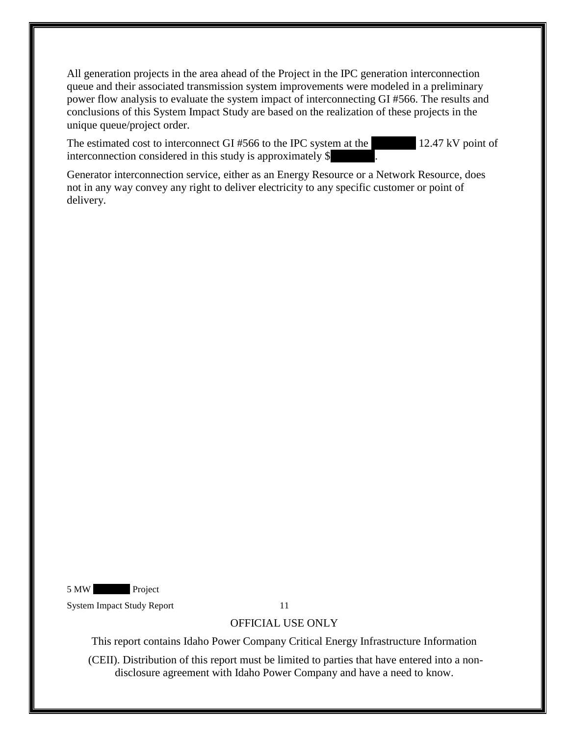All generation projects in the area ahead of the Project in the IPC generation interconnection queue and their associated transmission system improvements were modeled in a preliminary power flow analysis to evaluate the system impact of interconnecting GI #566. The results and conclusions of this System Impact Study are based on the realization of these projects in the unique queue/project order.

The estimated cost to interconnect GI  $#566$  to the IPC system at the  $12.47$  kV point of interconnection considered in this study is approximately  $$$ 

Generator interconnection service, either as an Energy Resource or a Network Resource, does not in any way convey any right to deliver electricity to any specific customer or point of delivery.

5 MW Project

System Impact Study Report 11

#### OFFICIAL USE ONLY

This report contains Idaho Power Company Critical Energy Infrastructure Information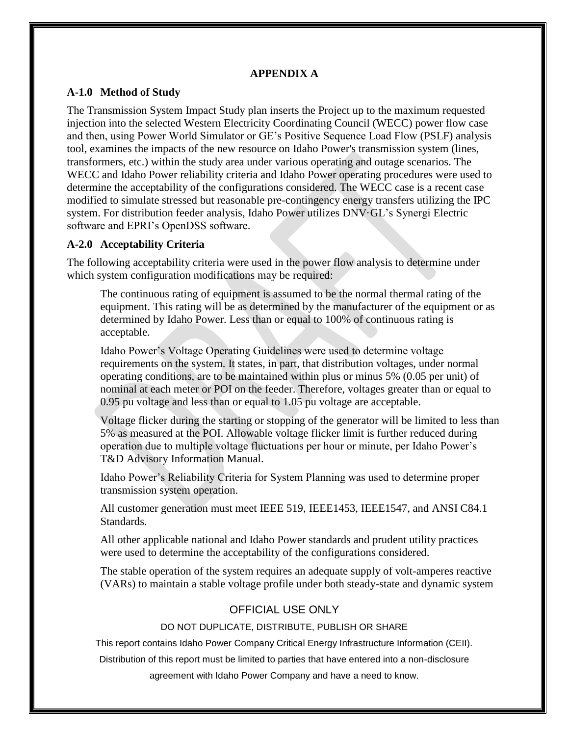#### **APPENDIX A**

#### <span id="page-12-1"></span><span id="page-12-0"></span>**A-1.0 Method of Study**

The Transmission System Impact Study plan inserts the Project up to the maximum requested injection into the selected Western Electricity Coordinating Council (WECC) power flow case and then, using Power World Simulator or GE's Positive Sequence Load Flow (PSLF) analysis tool, examines the impacts of the new resource on Idaho Power's transmission system (lines, transformers, etc.) within the study area under various operating and outage scenarios. The WECC and Idaho Power reliability criteria and Idaho Power operating procedures were used to determine the acceptability of the configurations considered. The WECC case is a recent case modified to simulate stressed but reasonable pre-contingency energy transfers utilizing the IPC system. For distribution feeder analysis, Idaho Power utilizes DNV·GL's Synergi Electric software and EPRI's OpenDSS software.

## <span id="page-12-2"></span>**A-2.0 Acceptability Criteria**

The following acceptability criteria were used in the power flow analysis to determine under which system configuration modifications may be required:

The continuous rating of equipment is assumed to be the normal thermal rating of the equipment. This rating will be as determined by the manufacturer of the equipment or as determined by Idaho Power. Less than or equal to 100% of continuous rating is acceptable.

Idaho Power's Voltage Operating Guidelines were used to determine voltage requirements on the system. It states, in part, that distribution voltages, under normal operating conditions, are to be maintained within plus or minus 5% (0.05 per unit) of nominal at each meter or POI on the feeder. Therefore, voltages greater than or equal to 0.95 pu voltage and less than or equal to 1.05 pu voltage are acceptable.

Voltage flicker during the starting or stopping of the generator will be limited to less than 5% as measured at the POI. Allowable voltage flicker limit is further reduced during operation due to multiple voltage fluctuations per hour or minute, per Idaho Power's T&D Advisory Information Manual.

Idaho Power's Reliability Criteria for System Planning was used to determine proper transmission system operation.

All customer generation must meet IEEE 519, IEEE1453, IEEE1547, and ANSI C84.1 Standards.

All other applicable national and Idaho Power standards and prudent utility practices were used to determine the acceptability of the configurations considered.

The stable operation of the system requires an adequate supply of volt-amperes reactive (VARs) to maintain a stable voltage profile under both steady-state and dynamic system

# OFFICIAL USE ONLY

DO NOT DUPLICATE, DISTRIBUTE, PUBLISH OR SHARE

This report contains Idaho Power Company Critical Energy Infrastructure Information (CEII).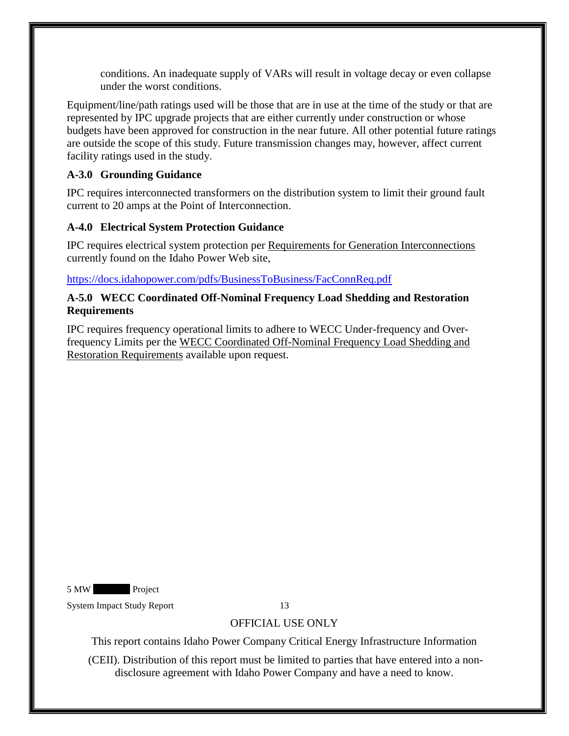conditions. An inadequate supply of VARs will result in voltage decay or even collapse under the worst conditions.

Equipment/line/path ratings used will be those that are in use at the time of the study or that are represented by IPC upgrade projects that are either currently under construction or whose budgets have been approved for construction in the near future. All other potential future ratings are outside the scope of this study. Future transmission changes may, however, affect current facility ratings used in the study.

# <span id="page-13-0"></span>**A-3.0 Grounding Guidance**

IPC requires interconnected transformers on the distribution system to limit their ground fault current to 20 amps at the Point of Interconnection.

## <span id="page-13-1"></span>**A-4.0 Electrical System Protection Guidance**

IPC requires electrical system protection per Requirements for Generation Interconnections currently found on the Idaho Power Web site,

<https://docs.idahopower.com/pdfs/BusinessToBusiness/FacConnReq.pdf>

#### <span id="page-13-2"></span>**A-5.0 WECC Coordinated Off-Nominal Frequency Load Shedding and Restoration Requirements**

IPC requires frequency operational limits to adhere to WECC Under-frequency and Overfrequency Limits per the WECC Coordinated Off-Nominal Frequency Load Shedding and Restoration Requirements available upon request.

5 MW Project

System Impact Study Report 13

# OFFICIAL USE ONLY

This report contains Idaho Power Company Critical Energy Infrastructure Information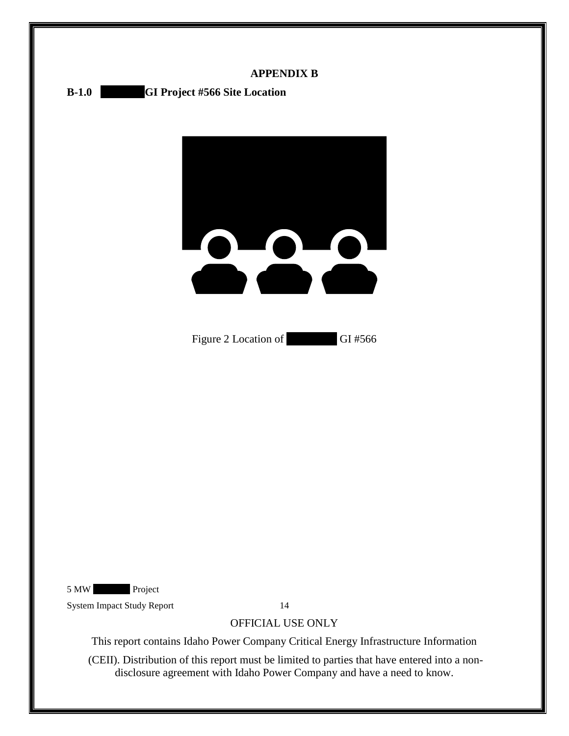<span id="page-14-1"></span><span id="page-14-0"></span>